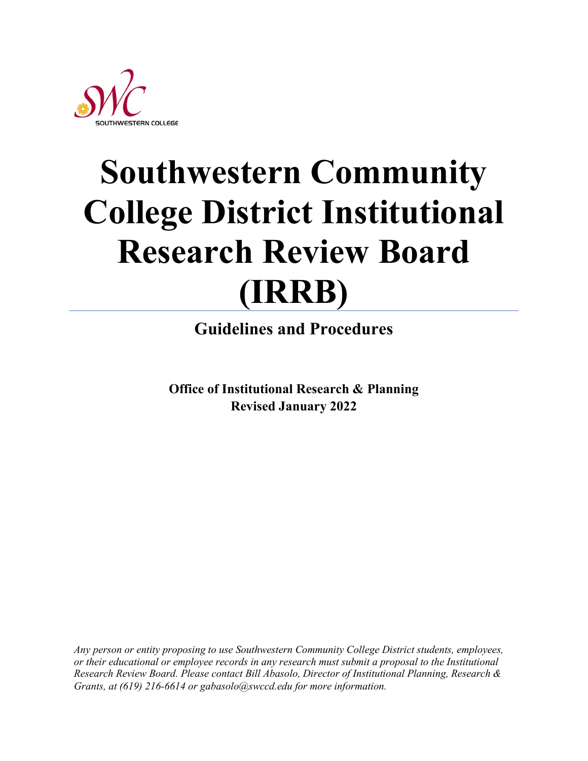

# **Southwestern Community College District Institutional Research Review Board (IRRB)**

**Guidelines and Procedures**

**Office of Institutional Research & Planning Revised January 2022**

*Any person or entity proposing to use Southwestern Community College District students, employees, or their educational or employee records in any research must submit a proposal to the Institutional Research Review Board. Please contact Bill Abasolo, Director of Institutional Planning, Research & Grants, at (619) 216-6614 or gabasolo@swccd.edu for more information.*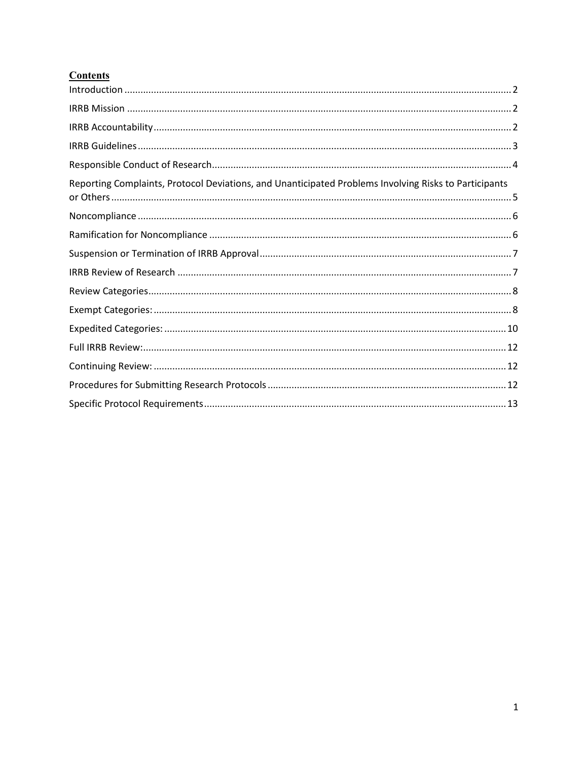# **Contents**

| Reporting Complaints, Protocol Deviations, and Unanticipated Problems Involving Risks to Participants |  |
|-------------------------------------------------------------------------------------------------------|--|
|                                                                                                       |  |
|                                                                                                       |  |
|                                                                                                       |  |
|                                                                                                       |  |
|                                                                                                       |  |
|                                                                                                       |  |
|                                                                                                       |  |
|                                                                                                       |  |
|                                                                                                       |  |
|                                                                                                       |  |
|                                                                                                       |  |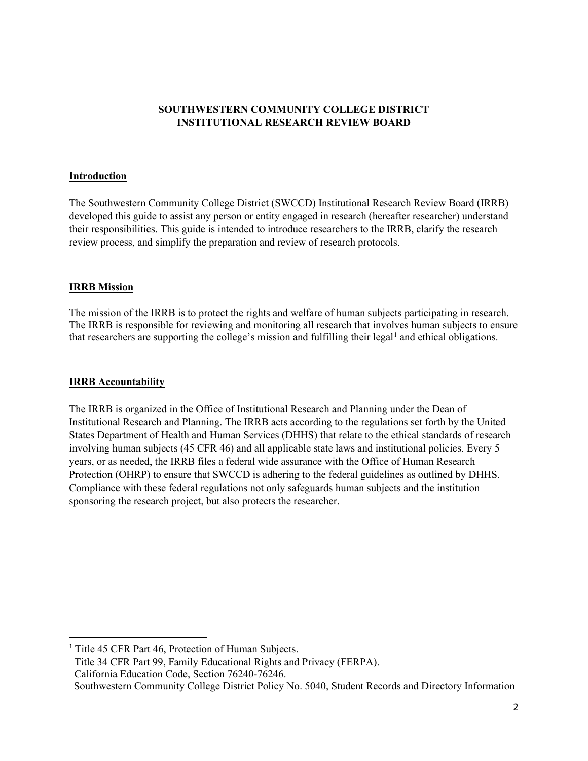### **SOUTHWESTERN COMMUNITY COLLEGE DISTRICT INSTITUTIONAL RESEARCH REVIEW BOARD**

#### <span id="page-2-0"></span>**Introduction**

The Southwestern Community College District (SWCCD) Institutional Research Review Board (IRRB) developed this guide to assist any person or entity engaged in research (hereafter researcher) understand their responsibilities. This guide is intended to introduce researchers to the IRRB, clarify the research review process, and simplify the preparation and review of research protocols.

#### <span id="page-2-1"></span>**IRRB Mission**

The mission of the IRRB is to protect the rights and welfare of human subjects participating in research. The IRRB is responsible for reviewing and monitoring all research that involves human subjects to ensure that researchers are supporting the college's mission and fulfilling their legal<sup>[1](#page-2-3)</sup> and ethical obligations.

#### <span id="page-2-2"></span>**IRRB Accountability**

The IRRB is organized in the Office of Institutional Research and Planning under the Dean of Institutional Research and Planning. The IRRB acts according to the regulations set forth by the United States Department of Health and Human Services (DHHS) that relate to the ethical standards of research involving human subjects (45 CFR 46) and all applicable state laws and institutional policies. Every 5 years, or as needed, the IRRB files a federal wide assurance with the Office of Human Research Protection (OHRP) to ensure that SWCCD is adhering to the federal guidelines as outlined by DHHS. Compliance with these federal regulations not only safeguards human subjects and the institution sponsoring the research project, but also protects the researcher.

<span id="page-2-3"></span><sup>&</sup>lt;sup>1</sup> Title 45 CFR Part 46, Protection of Human Subjects. Title 34 CFR Part 99, Family Educational Rights and Privacy (FERPA). California Education Code, Section 76240-76246. Southwestern Community College District Policy No. 5040, Student Records and Directory Information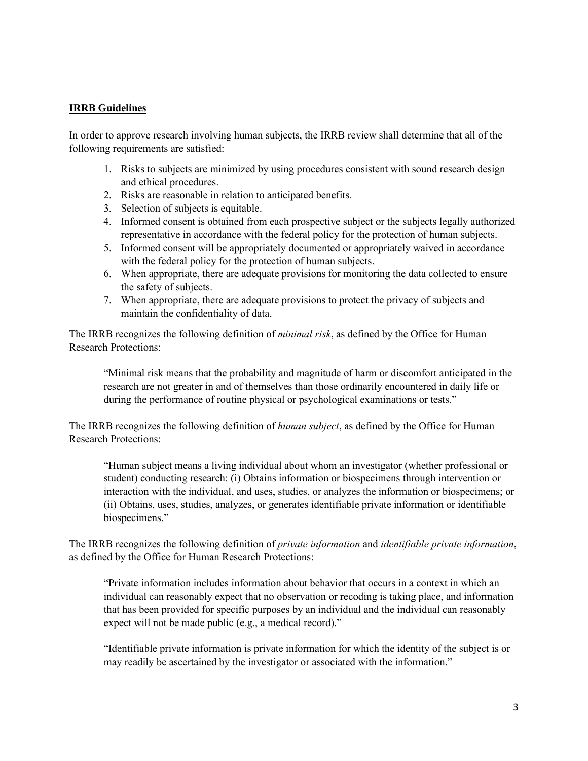# <span id="page-3-0"></span>**IRRB Guidelines**

In order to approve research involving human subjects, the IRRB review shall determine that all of the following requirements are satisfied:

- 1. Risks to subjects are minimized by using procedures consistent with sound research design and ethical procedures.
- 2. Risks are reasonable in relation to anticipated benefits.
- 3. Selection of subjects is equitable.
- 4. Informed consent is obtained from each prospective subject or the subjects legally authorized representative in accordance with the federal policy for the protection of human subjects.
- 5. Informed consent will be appropriately documented or appropriately waived in accordance with the federal policy for the protection of human subjects.
- 6. When appropriate, there are adequate provisions for monitoring the data collected to ensure the safety of subjects.
- 7. When appropriate, there are adequate provisions to protect the privacy of subjects and maintain the confidentiality of data.

The IRRB recognizes the following definition of *minimal risk*, as defined by the Office for Human Research Protections:

"Minimal risk means that the probability and magnitude of harm or discomfort anticipated in the research are not greater in and of themselves than those ordinarily encountered in daily life or during the performance of routine physical or psychological examinations or tests."

The IRRB recognizes the following definition of *human subject*, as defined by the Office for Human Research Protections:

"Human subject means a living individual about whom an investigator (whether professional or student) conducting research: (i) Obtains information or biospecimens through intervention or interaction with the individual, and uses, studies, or analyzes the information or biospecimens; or (ii) Obtains, uses, studies, analyzes, or generates identifiable private information or identifiable biospecimens."

The IRRB recognizes the following definition of *private information* and *identifiable private information*, as defined by the Office for Human Research Protections:

"Private information includes information about behavior that occurs in a context in which an individual can reasonably expect that no observation or recoding is taking place, and information that has been provided for specific purposes by an individual and the individual can reasonably expect will not be made public (e.g., a medical record)."

"Identifiable private information is private information for which the identity of the subject is or may readily be ascertained by the investigator or associated with the information."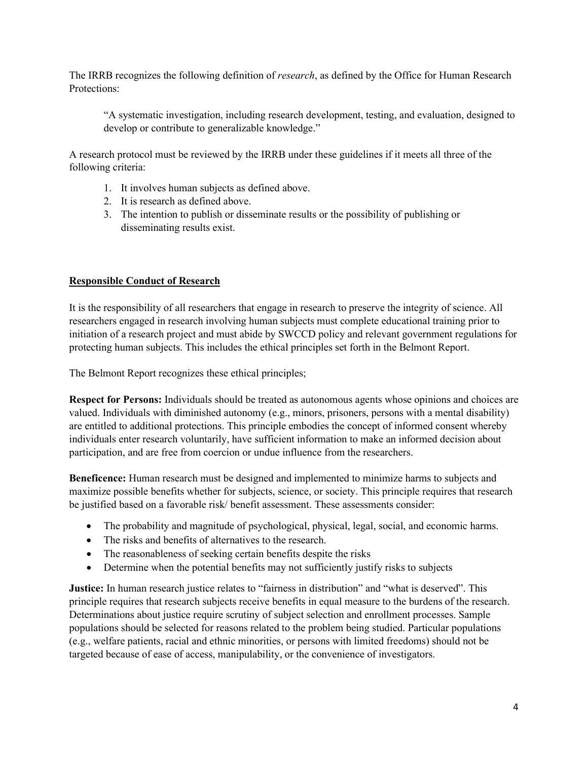The IRRB recognizes the following definition of *research*, as defined by the Office for Human Research Protections:

"A systematic investigation, including research development, testing, and evaluation, designed to develop or contribute to generalizable knowledge."

A research protocol must be reviewed by the IRRB under these guidelines if it meets all three of the following criteria:

- 1. It involves human subjects as defined above.
- 2. It is research as defined above.
- 3. The intention to publish or disseminate results or the possibility of publishing or disseminating results exist.

# <span id="page-4-0"></span>**Responsible Conduct of Research**

It is the responsibility of all researchers that engage in research to preserve the integrity of science. All researchers engaged in research involving human subjects must complete educational training prior to initiation of a research project and must abide by SWCCD policy and relevant government regulations for protecting human subjects. This includes the ethical principles set forth in the Belmont Report.

The Belmont Report recognizes these ethical principles;

**Respect for Persons:** Individuals should be treated as autonomous agents whose opinions and choices are valued. Individuals with diminished autonomy (e.g., minors, prisoners, persons with a mental disability) are entitled to additional protections. This principle embodies the concept of informed consent whereby individuals enter research voluntarily, have sufficient information to make an informed decision about participation, and are free from coercion or undue influence from the researchers.

**Beneficence:** Human research must be designed and implemented to minimize harms to subjects and maximize possible benefits whether for subjects, science, or society. This principle requires that research be justified based on a favorable risk/ benefit assessment. These assessments consider:

- The probability and magnitude of psychological, physical, legal, social, and economic harms.
- The risks and benefits of alternatives to the research.
- The reasonableness of seeking certain benefits despite the risks
- Determine when the potential benefits may not sufficiently justify risks to subjects

**Justice:** In human research justice relates to "fairness in distribution" and "what is deserved". This principle requires that research subjects receive benefits in equal measure to the burdens of the research. Determinations about justice require scrutiny of subject selection and enrollment processes. Sample populations should be selected for reasons related to the problem being studied. Particular populations (e.g., welfare patients, racial and ethnic minorities, or persons with limited freedoms) should not be targeted because of ease of access, manipulability, or the convenience of investigators.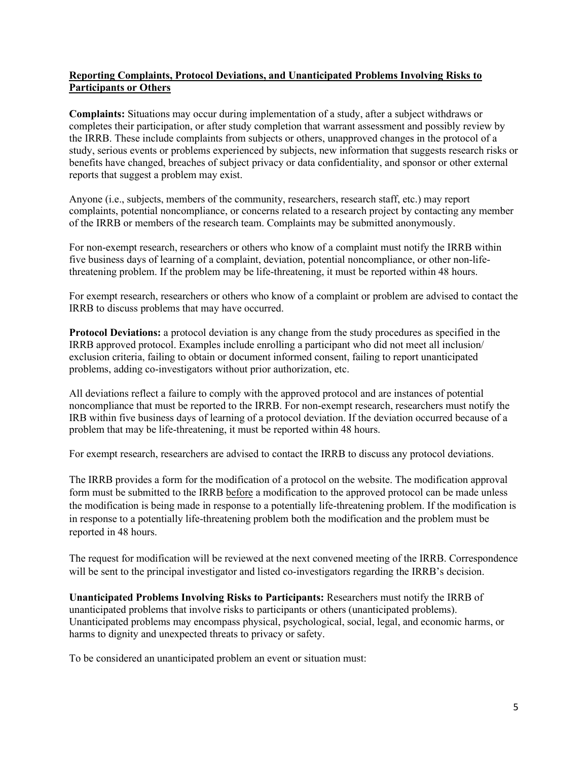## <span id="page-5-0"></span>**Reporting Complaints, Protocol Deviations, and Unanticipated Problems Involving Risks to Participants or Others**

**Complaints:** Situations may occur during implementation of a study, after a subject withdraws or completes their participation, or after study completion that warrant assessment and possibly review by the IRRB. These include complaints from subjects or others, unapproved changes in the protocol of a study, serious events or problems experienced by subjects, new information that suggests research risks or benefits have changed, breaches of subject privacy or data confidentiality, and sponsor or other external reports that suggest a problem may exist.

Anyone (i.e., subjects, members of the community, researchers, research staff, etc.) may report complaints, potential noncompliance, or concerns related to a research project by contacting any member of the IRRB or members of the research team. Complaints may be submitted anonymously.

For non-exempt research, researchers or others who know of a complaint must notify the IRRB within five business days of learning of a complaint, deviation, potential noncompliance, or other non-lifethreatening problem. If the problem may be life-threatening, it must be reported within 48 hours.

For exempt research, researchers or others who know of a complaint or problem are advised to contact the IRRB to discuss problems that may have occurred.

**Protocol Deviations:** a protocol deviation is any change from the study procedures as specified in the IRRB approved protocol. Examples include enrolling a participant who did not meet all inclusion/ exclusion criteria, failing to obtain or document informed consent, failing to report unanticipated problems, adding co-investigators without prior authorization, etc.

All deviations reflect a failure to comply with the approved protocol and are instances of potential noncompliance that must be reported to the IRRB. For non-exempt research, researchers must notify the IRB within five business days of learning of a protocol deviation. If the deviation occurred because of a problem that may be life-threatening, it must be reported within 48 hours.

For exempt research, researchers are advised to contact the IRRB to discuss any protocol deviations.

The IRRB provides a form for the modification of a protocol on the website. The modification approval form must be submitted to the IRRB before a modification to the approved protocol can be made unless the modification is being made in response to a potentially life-threatening problem. If the modification is in response to a potentially life-threatening problem both the modification and the problem must be reported in 48 hours.

The request for modification will be reviewed at the next convened meeting of the IRRB. Correspondence will be sent to the principal investigator and listed co-investigators regarding the IRRB's decision.

**Unanticipated Problems Involving Risks to Participants:** Researchers must notify the IRRB of unanticipated problems that involve risks to participants or others (unanticipated problems). Unanticipated problems may encompass physical, psychological, social, legal, and economic harms, or harms to dignity and unexpected threats to privacy or safety.

To be considered an unanticipated problem an event or situation must: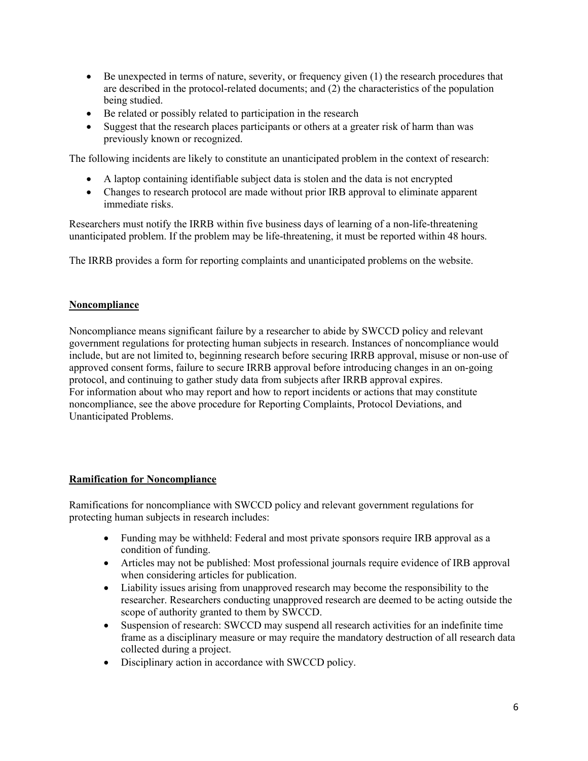- Be unexpected in terms of nature, severity, or frequency given (1) the research procedures that are described in the protocol-related documents; and (2) the characteristics of the population being studied.
- Be related or possibly related to participation in the research
- Suggest that the research places participants or others at a greater risk of harm than was previously known or recognized.

The following incidents are likely to constitute an unanticipated problem in the context of research:

- A laptop containing identifiable subject data is stolen and the data is not encrypted
- Changes to research protocol are made without prior IRB approval to eliminate apparent immediate risks.

Researchers must notify the IRRB within five business days of learning of a non-life-threatening unanticipated problem. If the problem may be life-threatening, it must be reported within 48 hours.

The IRRB provides a form for reporting complaints and unanticipated problems on the website.

#### <span id="page-6-0"></span>**Noncompliance**

Noncompliance means significant failure by a researcher to abide by SWCCD policy and relevant government regulations for protecting human subjects in research. Instances of noncompliance would include, but are not limited to, beginning research before securing IRRB approval, misuse or non-use of approved consent forms, failure to secure IRRB approval before introducing changes in an on-going protocol, and continuing to gather study data from subjects after IRRB approval expires. For information about who may report and how to report incidents or actions that may constitute noncompliance, see the above procedure for Reporting Complaints, Protocol Deviations, and Unanticipated Problems.

#### <span id="page-6-1"></span>**Ramification for Noncompliance**

Ramifications for noncompliance with SWCCD policy and relevant government regulations for protecting human subjects in research includes:

- Funding may be withheld: Federal and most private sponsors require IRB approval as a condition of funding.
- Articles may not be published: Most professional journals require evidence of IRB approval when considering articles for publication.
- Liability issues arising from unapproved research may become the responsibility to the researcher. Researchers conducting unapproved research are deemed to be acting outside the scope of authority granted to them by SWCCD.
- Suspension of research: SWCCD may suspend all research activities for an indefinite time frame as a disciplinary measure or may require the mandatory destruction of all research data collected during a project.
- Disciplinary action in accordance with SWCCD policy.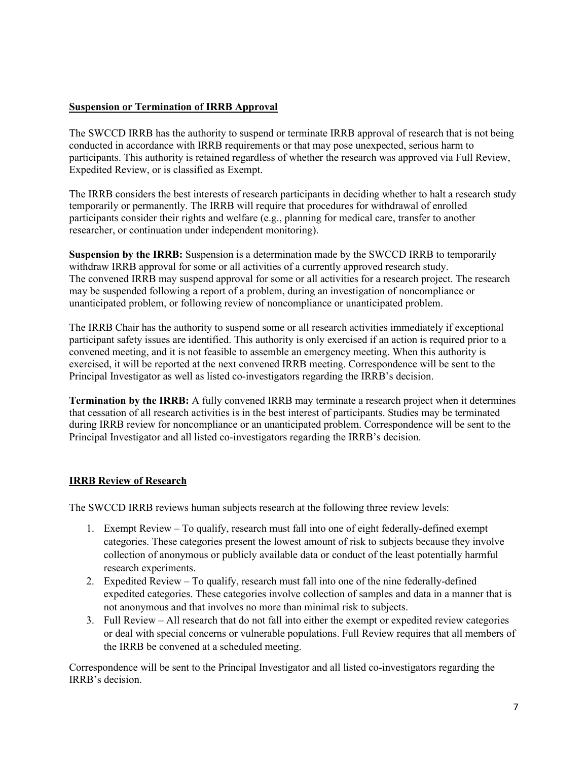### <span id="page-7-0"></span>**Suspension or Termination of IRRB Approval**

The SWCCD IRRB has the authority to suspend or terminate IRRB approval of research that is not being conducted in accordance with IRRB requirements or that may pose unexpected, serious harm to participants. This authority is retained regardless of whether the research was approved via Full Review, Expedited Review, or is classified as Exempt.

The IRRB considers the best interests of research participants in deciding whether to halt a research study temporarily or permanently. The IRRB will require that procedures for withdrawal of enrolled participants consider their rights and welfare (e.g., planning for medical care, transfer to another researcher, or continuation under independent monitoring).

**Suspension by the IRRB:** Suspension is a determination made by the SWCCD IRRB to temporarily withdraw IRRB approval for some or all activities of a currently approved research study. The convened IRRB may suspend approval for some or all activities for a research project. The research may be suspended following a report of a problem, during an investigation of noncompliance or unanticipated problem, or following review of noncompliance or unanticipated problem.

The IRRB Chair has the authority to suspend some or all research activities immediately if exceptional participant safety issues are identified. This authority is only exercised if an action is required prior to a convened meeting, and it is not feasible to assemble an emergency meeting. When this authority is exercised, it will be reported at the next convened IRRB meeting. Correspondence will be sent to the Principal Investigator as well as listed co-investigators regarding the IRRB's decision.

**Termination by the IRRB:** A fully convened IRRB may terminate a research project when it determines that cessation of all research activities is in the best interest of participants. Studies may be terminated during IRRB review for noncompliance or an unanticipated problem. Correspondence will be sent to the Principal Investigator and all listed co-investigators regarding the IRRB's decision.

# <span id="page-7-1"></span>**IRRB Review of Research**

The SWCCD IRRB reviews human subjects research at the following three review levels:

- 1. Exempt Review To qualify, research must fall into one of eight federally-defined exempt categories. These categories present the lowest amount of risk to subjects because they involve collection of anonymous or publicly available data or conduct of the least potentially harmful research experiments.
- 2. Expedited Review To qualify, research must fall into one of the nine federally-defined expedited categories. These categories involve collection of samples and data in a manner that is not anonymous and that involves no more than minimal risk to subjects.
- 3. Full Review All research that do not fall into either the exempt or expedited review categories or deal with special concerns or vulnerable populations. Full Review requires that all members of the IRRB be convened at a scheduled meeting.

Correspondence will be sent to the Principal Investigator and all listed co-investigators regarding the IRRB's decision.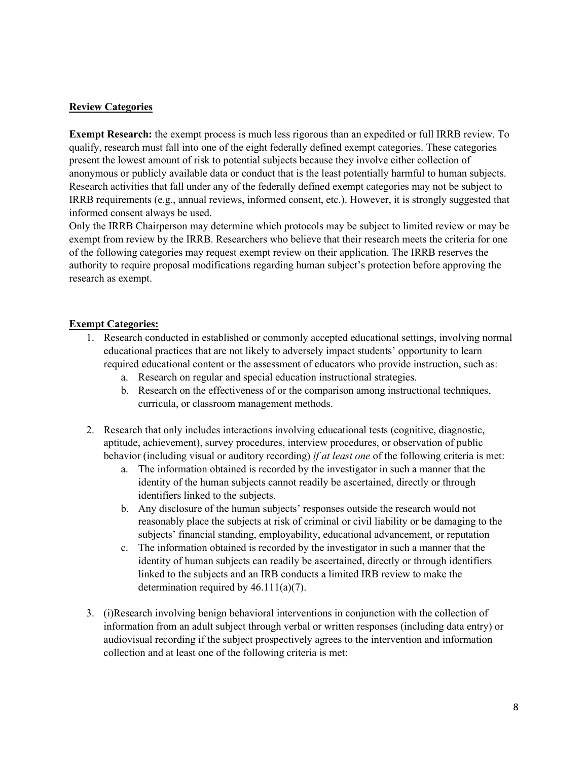### <span id="page-8-0"></span>**Review Categories**

**Exempt Research:** the exempt process is much less rigorous than an expedited or full IRRB review. To qualify, research must fall into one of the eight federally defined exempt categories. These categories present the lowest amount of risk to potential subjects because they involve either collection of anonymous or publicly available data or conduct that is the least potentially harmful to human subjects. Research activities that fall under any of the federally defined exempt categories may not be subject to IRRB requirements (e.g., annual reviews, informed consent, etc.). However, it is strongly suggested that informed consent always be used.

Only the IRRB Chairperson may determine which protocols may be subject to limited review or may be exempt from review by the IRRB. Researchers who believe that their research meets the criteria for one of the following categories may request exempt review on their application. The IRRB reserves the authority to require proposal modifications regarding human subject's protection before approving the research as exempt.

#### <span id="page-8-1"></span>**Exempt Categories:**

- 1. Research conducted in established or commonly accepted educational settings, involving normal educational practices that are not likely to adversely impact students' opportunity to learn required educational content or the assessment of educators who provide instruction, such as:
	- a. Research on regular and special education instructional strategies.
	- b. Research on the effectiveness of or the comparison among instructional techniques, curricula, or classroom management methods.
- 2. Research that only includes interactions involving educational tests (cognitive, diagnostic, aptitude, achievement), survey procedures, interview procedures, or observation of public behavior (including visual or auditory recording) *if at least one* of the following criteria is met:
	- a. The information obtained is recorded by the investigator in such a manner that the identity of the human subjects cannot readily be ascertained, directly or through identifiers linked to the subjects.
	- b. Any disclosure of the human subjects' responses outside the research would not reasonably place the subjects at risk of criminal or civil liability or be damaging to the subjects' financial standing, employability, educational advancement, or reputation
	- c. The information obtained is recorded by the investigator in such a manner that the identity of human subjects can readily be ascertained, directly or through identifiers linked to the subjects and an IRB conducts a limited IRB review to make the determination required by 46.111(a)(7).
- 3. (i)Research involving benign behavioral interventions in conjunction with the collection of information from an adult subject through verbal or written responses (including data entry) or audiovisual recording if the subject prospectively agrees to the intervention and information collection and at least one of the following criteria is met: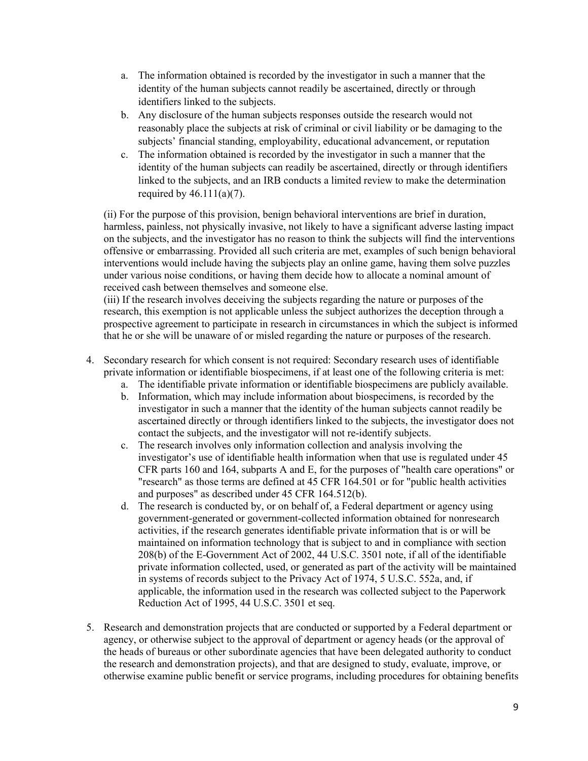- a. The information obtained is recorded by the investigator in such a manner that the identity of the human subjects cannot readily be ascertained, directly or through identifiers linked to the subjects.
- b. Any disclosure of the human subjects responses outside the research would not reasonably place the subjects at risk of criminal or civil liability or be damaging to the subjects' financial standing, employability, educational advancement, or reputation
- c. The information obtained is recorded by the investigator in such a manner that the identity of the human subjects can readily be ascertained, directly or through identifiers linked to the subjects, and an IRB conducts a limited review to make the determination required by  $46.111(a)(7)$ .

(ii) For the purpose of this provision, benign behavioral interventions are brief in duration, harmless, painless, not physically invasive, not likely to have a significant adverse lasting impact on the subjects, and the investigator has no reason to think the subjects will find the interventions offensive or embarrassing. Provided all such criteria are met, examples of such benign behavioral interventions would include having the subjects play an online game, having them solve puzzles under various noise conditions, or having them decide how to allocate a nominal amount of received cash between themselves and someone else.

(iii) If the research involves deceiving the subjects regarding the nature or purposes of the research, this exemption is not applicable unless the subject authorizes the deception through a prospective agreement to participate in research in circumstances in which the subject is informed that he or she will be unaware of or misled regarding the nature or purposes of the research.

- 4. Secondary research for which consent is not required: Secondary research uses of identifiable private information or identifiable biospecimens, if at least one of the following criteria is met:
	- a. The identifiable private information or identifiable biospecimens are publicly available.
	- b. Information, which may include information about biospecimens, is recorded by the investigator in such a manner that the identity of the human subjects cannot readily be ascertained directly or through identifiers linked to the subjects, the investigator does not contact the subjects, and the investigator will not re-identify subjects.
	- c. The research involves only information collection and analysis involving the investigator's use of identifiable health information when that use is regulated under 45 CFR parts 160 and 164, subparts A and E, for the purposes of "health care operations" or "research" as those terms are defined at 45 CFR 164.501 or for "public health activities and purposes" as described under 45 CFR 164.512(b).
	- d. The research is conducted by, or on behalf of, a Federal department or agency using government-generated or government-collected information obtained for nonresearch activities, if the research generates identifiable private information that is or will be maintained on information technology that is subject to and in compliance with section 208(b) of the E-Government Act of 2002, 44 U.S.C. 3501 note, if all of the identifiable private information collected, used, or generated as part of the activity will be maintained in systems of records subject to the Privacy Act of 1974, 5 U.S.C. 552a, and, if applicable, the information used in the research was collected subject to the Paperwork Reduction Act of 1995, 44 U.S.C. 3501 et seq.
- 5. Research and demonstration projects that are conducted or supported by a Federal department or agency, or otherwise subject to the approval of department or agency heads (or the approval of the heads of bureaus or other subordinate agencies that have been delegated authority to conduct the research and demonstration projects), and that are designed to study, evaluate, improve, or otherwise examine public benefit or service programs, including procedures for obtaining benefits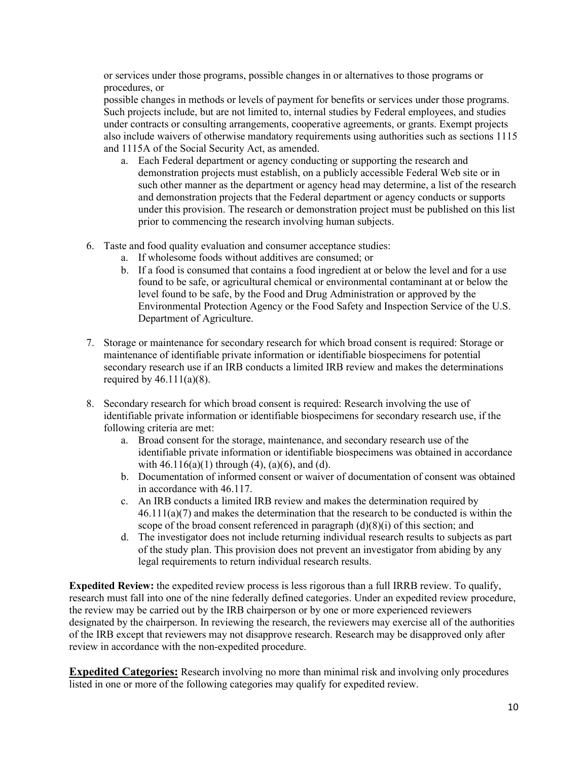or services under those programs, possible changes in or alternatives to those programs or procedures, or

possible changes in methods or levels of payment for benefits or services under those programs. Such projects include, but are not limited to, internal studies by Federal employees, and studies under contracts or consulting arrangements, cooperative agreements, or grants. Exempt projects also include waivers of otherwise mandatory requirements using authorities such as sections 1115 and 1115A of the Social Security Act, as amended.

- a. Each Federal department or agency conducting or supporting the research and demonstration projects must establish, on a publicly accessible Federal Web site or in such other manner as the department or agency head may determine, a list of the research and demonstration projects that the Federal department or agency conducts or supports under this provision. The research or demonstration project must be published on this list prior to commencing the research involving human subjects.
- 6. Taste and food quality evaluation and consumer acceptance studies:
	- a. If wholesome foods without additives are consumed; or
	- b. If a food is consumed that contains a food ingredient at or below the level and for a use found to be safe, or agricultural chemical or environmental contaminant at or below the level found to be safe, by the Food and Drug Administration or approved by the Environmental Protection Agency or the Food Safety and Inspection Service of the U.S. Department of Agriculture.
- 7. Storage or maintenance for secondary research for which broad consent is required: Storage or maintenance of identifiable private information or identifiable biospecimens for potential secondary research use if an IRB conducts a limited IRB review and makes the determinations required by  $46.111(a)(8)$ .
- 8. Secondary research for which broad consent is required: Research involving the use of identifiable private information or identifiable biospecimens for secondary research use, if the following criteria are met:
	- a. Broad consent for the storage, maintenance, and secondary research use of the identifiable private information or identifiable biospecimens was obtained in accordance with  $46.116(a)(1)$  through  $(4)$ ,  $(a)(6)$ , and  $(d)$ .
	- b. Documentation of informed consent or waiver of documentation of consent was obtained in accordance with 46.117.
	- c. An IRB conducts a limited IRB review and makes the determination required by  $46.111(a)(7)$  and makes the determination that the research to be conducted is within the scope of the broad consent referenced in paragraph  $(d)(8)(i)$  of this section; and
	- d. The investigator does not include returning individual research results to subjects as part of the study plan. This provision does not prevent an investigator from abiding by any legal requirements to return individual research results.

**Expedited Review:** the expedited review process is less rigorous than a full IRRB review. To qualify, research must fall into one of the nine federally defined categories. Under an expedited review procedure, the review may be carried out by the IRB chairperson or by one or more experienced reviewers designated by the chairperson. In reviewing the research, the reviewers may exercise all of the authorities of the IRB except that reviewers may not disapprove research. Research may be disapproved only after review in accordance with the non-expedited procedure.

<span id="page-10-0"></span>**Expedited Categories:** Research involving no more than minimal risk and involving only procedures listed in one or more of the following categories may qualify for expedited review.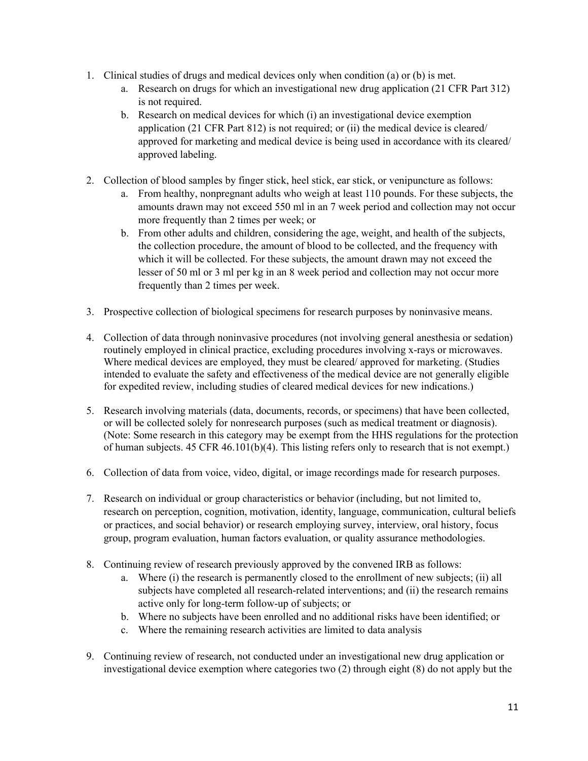- 1. Clinical studies of drugs and medical devices only when condition (a) or (b) is met.
	- a. Research on drugs for which an investigational new drug application (21 CFR Part 312) is not required.
	- b. Research on medical devices for which (i) an investigational device exemption application (21 CFR Part 812) is not required; or (ii) the medical device is cleared/ approved for marketing and medical device is being used in accordance with its cleared/ approved labeling.
- 2. Collection of blood samples by finger stick, heel stick, ear stick, or venipuncture as follows:
	- a. From healthy, nonpregnant adults who weigh at least 110 pounds. For these subjects, the amounts drawn may not exceed 550 ml in an 7 week period and collection may not occur more frequently than 2 times per week; or
	- b. From other adults and children, considering the age, weight, and health of the subjects, the collection procedure, the amount of blood to be collected, and the frequency with which it will be collected. For these subjects, the amount drawn may not exceed the lesser of 50 ml or 3 ml per kg in an 8 week period and collection may not occur more frequently than 2 times per week.
- 3. Prospective collection of biological specimens for research purposes by noninvasive means.
- 4. Collection of data through noninvasive procedures (not involving general anesthesia or sedation) routinely employed in clinical practice, excluding procedures involving x-rays or microwaves. Where medical devices are employed, they must be cleared/ approved for marketing. (Studies intended to evaluate the safety and effectiveness of the medical device are not generally eligible for expedited review, including studies of cleared medical devices for new indications.)
- 5. Research involving materials (data, documents, records, or specimens) that have been collected, or will be collected solely for nonresearch purposes (such as medical treatment or diagnosis). (Note: Some research in this category may be exempt from the HHS regulations for the protection of human subjects. 45 CFR 46.101(b)(4). This listing refers only to research that is not exempt.)
- 6. Collection of data from voice, video, digital, or image recordings made for research purposes.
- 7. Research on individual or group characteristics or behavior (including, but not limited to, research on perception, cognition, motivation, identity, language, communication, cultural beliefs or practices, and social behavior) or research employing survey, interview, oral history, focus group, program evaluation, human factors evaluation, or quality assurance methodologies.
- 8. Continuing review of research previously approved by the convened IRB as follows:
	- a. Where (i) the research is permanently closed to the enrollment of new subjects; (ii) all subjects have completed all research-related interventions; and (ii) the research remains active only for long-term follow-up of subjects; or
	- b. Where no subjects have been enrolled and no additional risks have been identified; or
	- c. Where the remaining research activities are limited to data analysis
- 9. Continuing review of research, not conducted under an investigational new drug application or investigational device exemption where categories two (2) through eight (8) do not apply but the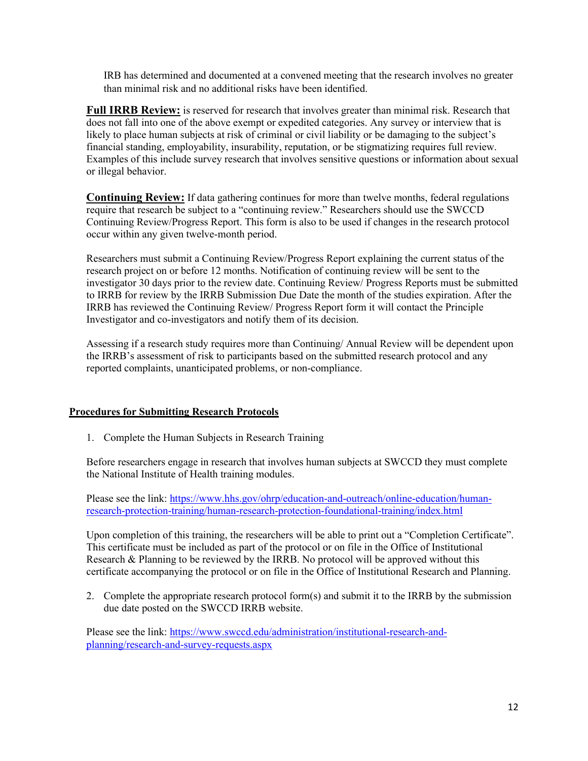IRB has determined and documented at a convened meeting that the research involves no greater than minimal risk and no additional risks have been identified.

<span id="page-12-0"></span>**Full IRRB Review:** is reserved for research that involves greater than minimal risk. Research that does not fall into one of the above exempt or expedited categories. Any survey or interview that is likely to place human subjects at risk of criminal or civil liability or be damaging to the subject's financial standing, employability, insurability, reputation, or be stigmatizing requires full review. Examples of this include survey research that involves sensitive questions or information about sexual or illegal behavior.

<span id="page-12-1"></span>**Continuing Review:** If data gathering continues for more than twelve months, federal regulations require that research be subject to a "continuing review." Researchers should use the SWCCD Continuing Review/Progress Report. This form is also to be used if changes in the research protocol occur within any given twelve-month period.

Researchers must submit a Continuing Review/Progress Report explaining the current status of the research project on or before 12 months. Notification of continuing review will be sent to the investigator 30 days prior to the review date. Continuing Review/ Progress Reports must be submitted to IRRB for review by the IRRB Submission Due Date the month of the studies expiration. After the IRRB has reviewed the Continuing Review/ Progress Report form it will contact the Principle Investigator and co-investigators and notify them of its decision.

Assessing if a research study requires more than Continuing/ Annual Review will be dependent upon the IRRB's assessment of risk to participants based on the submitted research protocol and any reported complaints, unanticipated problems, or non-compliance.

#### <span id="page-12-2"></span>**Procedures for Submitting Research Protocols**

1. Complete the Human Subjects in Research Training

Before researchers engage in research that involves human subjects at SWCCD they must complete the National Institute of Health training modules.

Please see the link: [https://www.hhs.gov/ohrp/education-and-outreach/online-education/human](https://www.hhs.gov/ohrp/education-and-outreach/online-education/human-research-protection-training/human-research-protection-foundational-training/index.html)[research-protection-training/human-research-protection-foundational-training/index.html](https://www.hhs.gov/ohrp/education-and-outreach/online-education/human-research-protection-training/human-research-protection-foundational-training/index.html)

Upon completion of this training, the researchers will be able to print out a "Completion Certificate". This certificate must be included as part of the protocol or on file in the Office of Institutional Research & Planning to be reviewed by the IRRB. No protocol will be approved without this certificate accompanying the protocol or on file in the Office of Institutional Research and Planning.

2. Complete the appropriate research protocol form(s) and submit it to the IRRB by the submission due date posted on the SWCCD IRRB website.

Please see the link: [https://www.swccd.edu/administration/institutional-research-and](https://www.swccd.edu/administration/institutional-research-and-planning/research-and-survey-requests.aspx)[planning/research-and-survey-requests.aspx](https://www.swccd.edu/administration/institutional-research-and-planning/research-and-survey-requests.aspx)